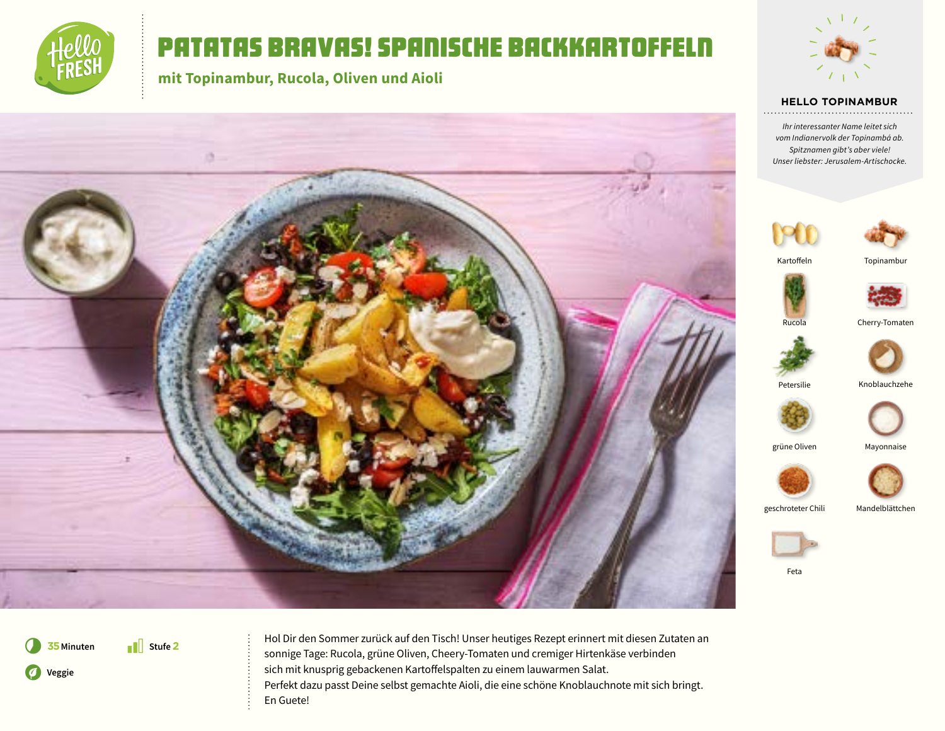

# Patatas Bravas! Spanische Backkartoffeln

**mit Topinambur, Rucola, Oliven und Aioli**





#### **HELLO TOPINAMBUR**

*Ihr interessanter Name leitet sich vom Indianervolk der Topinambá ab. Spitznamen gibt's aber viele! Unser liebster: Jerusalem-Artischocke.*





Kartoffeln





Rucola Cherry-Tomaten



Petersilie Knoblauchzehe



grüne Oliven Mayonnaise



geschroteter Chili Mandelblättchen





Feta

\* **Stufe 2** *<u>D* Veggie</u>

7 **<sup>35</sup>Minuten** Hol Dir den Sommer zurück auf den Tisch! Unser heutiges Rezept erinnert mit diesen Zutaten an sonnige Tage: Rucola, grüne Oliven, Cheery-Tomaten und cremiger Hirtenkäse verbinden sich mit knusprig gebackenen Kartoffelspalten zu einem lauwarmen Salat. Perfekt dazu passt Deine selbst gemachte Aioli, die eine schöne Knoblauchnote mit sich bringt. En Guete!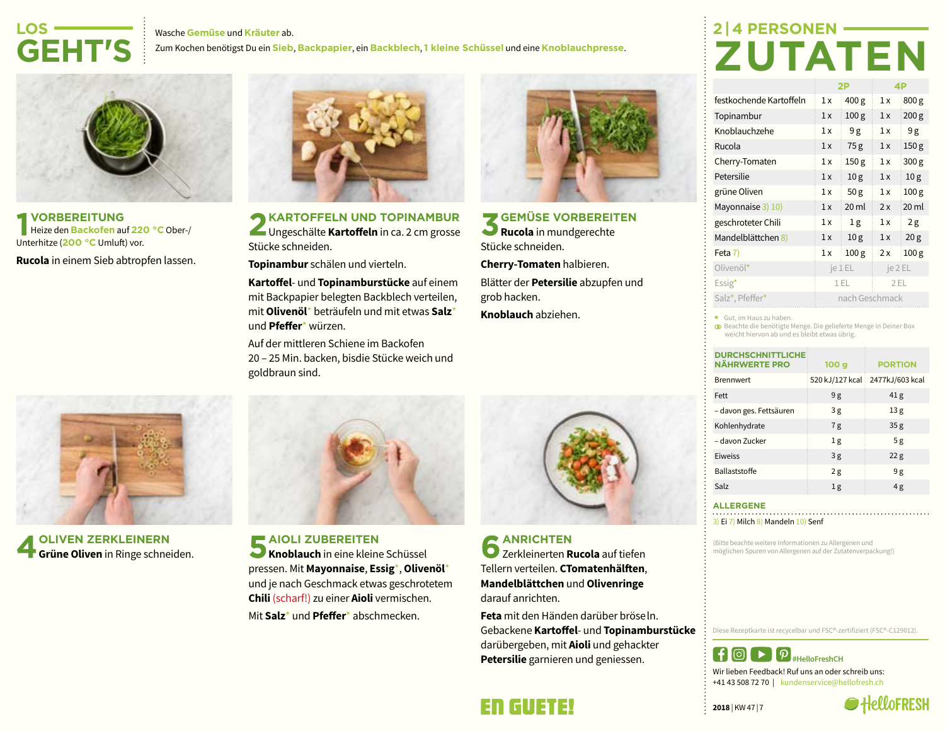#### Wasche **Gemüse** und **Kräuter** ab.

Zum Kochen benötigst Du ein **Sieb**, **Backpapier**, ein **Backblech**, **1 kleine Schüssel** und eine **Knoblauchpresse**.



**LOS-**

**VORBEREITUNG** Heize den **Backofen** auf **220 °C** Ober-/ Unterhitze (**200 °C** Umluft) vor.

**Rucola** in einem Sieb abtropfen lassen.



**OLIVEN ZERKLEINERN Grüne Oliven** in Ringe schneiden.



**KARTOFFELN UND TOPINAMBUR** Ungeschälte **Kartoffeln** in ca. 2 cm grosse Stücke schneiden.

**Topinambur** schälen und vierteln.

**Kartoffel**- und **Topinamburstücke** auf einem mit Backpapier belegten Backblech verteilen, mit **Olivenöl**\* beträufeln und mit etwas **Salz**\* und **Pfeffer**\* würzen.

Auf der mittleren Schiene im Backofen 20 – 25 Min. backen, bisdie Stücke weich und goldbraun sind.



**AIOLI ZUBEREITEN**

**Knoblauch** in eine kleine Schüssel pressen. Mit **Mayonnaise**, **Essig**\*, **Olivenöl**\* und je nach Geschmack etwas geschrotetem **Chili** (scharf!) zu einer **Aioli** vermischen. Mit **Salz**\* und **Pfeffer**\* abschmecken.



**GEMÜSE VORBEREITEN Rucola** in mundgerechte Stücke schneiden.

**Cherry-Tomaten** halbieren.

Blätter der **Petersilie** abzupfen und grob hacken.

**Knoblauch** abziehen.



**ANRICHTEN** Zerkleinerten **Rucola** auf tiefen Tellern verteilen. **CTomatenhälften**, **Mandelblättchen** und **Olivenringe** darauf anrichten.

**Feta** mit den Händen darüber bröse ln. Gebackene **Kartoffel**- und **Topinamburstücke** darübergeben, mit **Aioli** und gehackter **Petersilie** garnieren und geniessen.

# **2 | 4 PERSONEN-ZUTATEN**

|                         | 2P             |                  | 4P      |                  |
|-------------------------|----------------|------------------|---------|------------------|
| festkochende Kartoffeln | 1x             | 400 g            | 1x      | 800 g            |
| Topinambur              | 1x             | 100 <sub>g</sub> | 1x      | 200 <sub>g</sub> |
| Knoblauchzehe           | 1x             | 9g               | 1x      | 9g               |
| Rucola                  | 1x             | 75g              | 1x      | 150 <sub>g</sub> |
| Cherry-Tomaten          | 1x             | 150 <sub>g</sub> | 1x      | 300 g            |
| Petersilie              | 1x             | 10 <sub>g</sub>  | 1x      | 10 <sub>g</sub>  |
| grüne Oliven            | 1x             | 50 <sub>g</sub>  | 1x      | 100 <sub>g</sub> |
| Mayonnaise 3) 10)       | 1x             | 20 <sub>ml</sub> | 2x      | 20 ml            |
| geschroteter Chili      | 1x             | 1 <sub>g</sub>   | 1x      | 2g               |
| Mandelblättchen 8)      | 1x             | 10 <sub>g</sub>  | 1x      | 20 <sub>g</sub>  |
| Feta 7)                 | 1x             | 100 <sub>g</sub> | 2x      | 100 <sub>g</sub> |
| Olivenöl*               | je 1 EL        |                  | je 2 EL |                  |
| $Essig^{\star}$         | 1 EL           |                  | 2EL     |                  |
| Salz*, Pfeffer*         | nach Geschmack |                  |         |                  |

Gut, im Haus zu haben.

Beachte die benötigte Menge. Die gelieferte Menge in Deiner Box weicht hiervon ab und es bleibt etwas übrig.

| <b>DURCHSCHNITTLICHE</b><br><b>NÄHRWERTE PRO</b> | 100 <sub>g</sub> | <b>PORTION</b>  |
|--------------------------------------------------|------------------|-----------------|
| <b>Brennwert</b>                                 | 520 kJ/127 kcal  | 2477kJ/603 kcal |
| Fett                                             | 9g               | 41 <sub>g</sub> |
| - davon ges. Fettsäuren                          | 3g               | 13 <sub>g</sub> |
| Kohlenhydrate                                    | 7g               | 35 <sub>g</sub> |
| – davon Zucker                                   | 1 <sub>g</sub>   | 5g              |
| Eiweiss                                          | 3g               | 22 <sub>g</sub> |
| Ballaststoffe                                    | 2g               | 9g              |
| Salz                                             | 1 <sub>g</sub>   | 4 g             |

#### **ALLERGENE**

3) Ei 7) Milch 8) Mandeln 10) Senf

(Bitte beachte weitere Informationen zu Allergenen und möglichen Spuren von Allergenen auf der Zutatenverpackung!)

Diese Rezeptkarte ist recycelbar und FSC®-zertifiziert (FSC®-C129012).



Wir lieben Feedback! Ruf uns an oder schreib uns: +41 43 508 72 70 | kundenservice@hellofresh.ch

**2018** | KW 47 | 7



### En Guete!

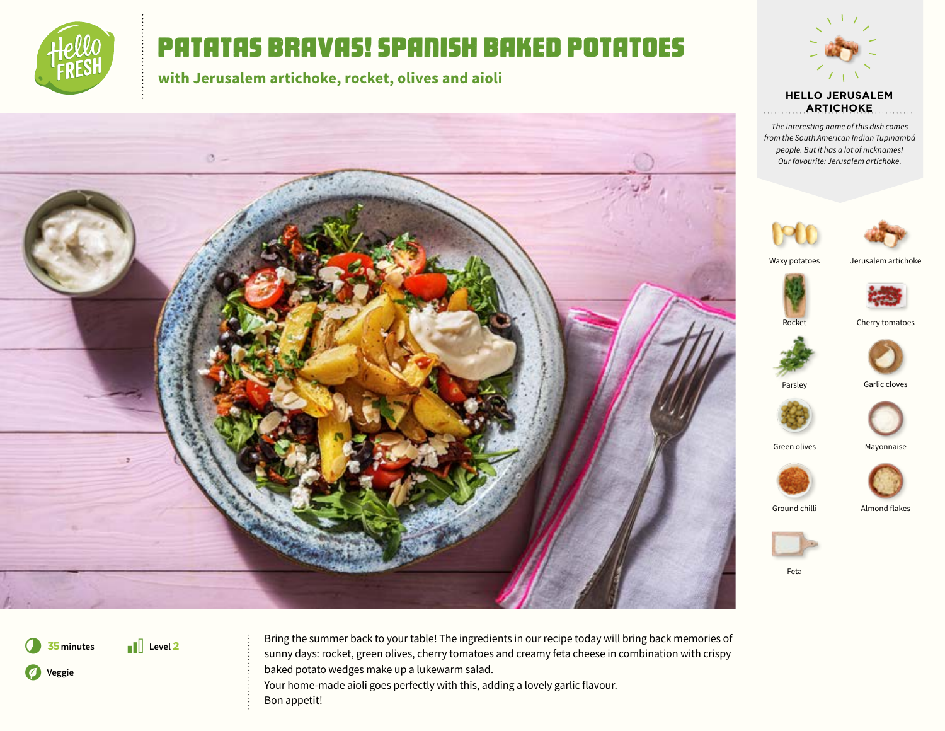

## Patatas bravas! Spanish baked potatoes

**with Jerusalem artichoke, rocket, olives and aioli**





**HELLO JERUSALEM ARTICHOKE**. . . . . . . . .

*The interesting name of this dish comes from the South American Indian Tupinambá people. But it has a lot of nicknames! Our favourite: Jerusalem artichoke.*





Waxy potatoes

Jerusalem artichoke







Parsley Garlic cloves

Green olives Mayonnaise



Ground chilli Almond flakes





\* **Level 2** *<u>D* Veggie</u>

**75** minutes **Bring the summer back to your table!** The ingredients in our recipe today will bring back memories of sunny days: rocket, green olives, cherry tomatoes and creamy feta cheese in combination with crispy baked potato wedges make up a lukewarm salad.

> Your home-made aioli goes perfectly with this, adding a lovely garlic flavour. Bon appetit!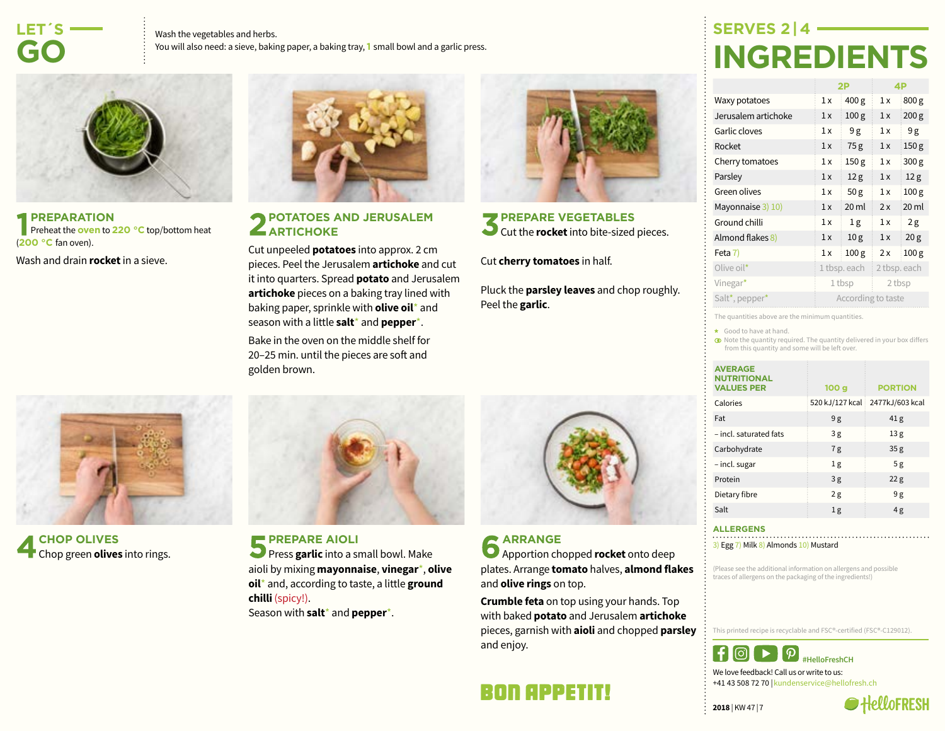## **LET´S-GO**

Wash the vegetables and herbs. You will also need: a sieve, baking paper, a baking tray, **1** small bowl and a garlic press.



**PREPARATION Preheat the oven to 220 °C** top/bottom heat (**200 °C** fan oven).

Wash and drain **rocket** in a sieve.



#### **POTATOES AND JERUSALEM ARTICHOKE**

Cut unpeeled **potatoes** into approx. 2 cm pieces. Peel the Jerusalem **artichoke** and cut it into quarters. Spread **potato** and Jerusalem **artichoke** pieces on a baking tray lined with baking paper, sprinkle with **olive oil**\* and season with a little **salt**\* and **pepper**\*. Bake in the oven on the middle shelf for

20–25 min. until the pieces are soft and golden brown.



### **PREPARE VEGETABLES** S cut the **rocket** into bite-sized pieces.

Cut **cherry tomatoes** in half.

Pluck the **parsley leaves** and chop roughly. Peel the **garlic**.

**SERVES 2 | 4- INGREDIENTS**

|                     | 2P                 |                  | 4P           |                  |
|---------------------|--------------------|------------------|--------------|------------------|
| Waxy potatoes       | 1x                 | 400 g            | 1x           | 800 g            |
| Jerusalem artichoke | 1x                 | 100 <sub>g</sub> | 1x           | 200 <sub>g</sub> |
| Garlic cloves       | 1x                 | 9g               | 1x           | 9g               |
| Rocket              | 1x                 | 75g              | 1x           | 150 <sub>g</sub> |
| Cherry tomatoes     | 1x                 | 150 <sub>g</sub> | 1x           | 300 g            |
| Parsley             | 1x                 | 12 <sub>g</sub>  | 1x           | 12 <sub>g</sub>  |
| Green olives        | 1x                 | 50 <sub>g</sub>  | 1x           | 100 <sub>g</sub> |
| Mayonnaise 3) 10)   | 1x                 | 20 <sub>ml</sub> | 2x           | 20 <sub>ml</sub> |
| Ground chilli       | 1x                 | 1g               | 1x           | 2g               |
| Almond flakes 8)    | 1x                 | 10 <sub>g</sub>  | 1x           | 20 <sub>g</sub>  |
| Feta 7)             | 1x                 | 100 <sub>g</sub> | 2x           | 100 <sub>g</sub> |
| Olive oil*          | 1 tbsp. each       |                  | 2 tbsp. each |                  |
| Vinegar*            | 1 tbsp             |                  | 2 tbsp       |                  |
| Salt*, pepper*      | According to taste |                  |              |                  |

The quantities above are the minimum quantities.

\* Good to have at hand.

 $\bullet$  Note the quantity required. The quantity delivered in your box differs from this quantity and some will be left over.

| <b>AVERAGE</b><br><b>NUTRITIONAL</b><br><b>VALUES PER</b> | 100 <sub>g</sub> | <b>PORTION</b>  |
|-----------------------------------------------------------|------------------|-----------------|
| Calories                                                  | 520 kJ/127 kcal  | 2477kJ/603 kcal |
| Fat                                                       | 9g               | 41 <sub>g</sub> |
| - incl. saturated fats                                    | 3g               | 13 <sub>g</sub> |
| Carbohydrate                                              | 7g               | 35 <sub>g</sub> |
| - incl. sugar                                             | 1 <sub>g</sub>   | 5g              |
| Protein                                                   | 3g               | 22 <sub>g</sub> |
| Dietary fibre                                             | 2g               | 9g              |
| Salt                                                      | 1 <sub>g</sub>   | 4g              |

#### **ALLERGENS**

3) Egg 7) Milk 8) Almonds 10) Mustard

(Please see the additional information on allergens and possible traces of allergens on the packaging of the ingredients!)

This printed recipe is recyclable and FSC®-certified (FSC®-C129012).



We love feedback! Call us or write to us: +41 43 508 72 70 | kundenservice@hellofresh.ch

**2018** | KW 47 | 7





**CHOP OLIVES** Chop green **olives** into rings.



**PREPARE AIOLI Press garlic** into a small bowl. Make aioli by mixing **mayonnaise**, **vinegar**\*, **olive oil**\* and, according to taste, a little **ground chilli** (spicy!).

Season with **salt**\* and **pepper**\*.

### **ARRANGE**

Apportion chopped **rocket** onto deep plates. Arrange **tomato** halves, **almond flakes** and **olive rings** on top.

**Crumble feta** on top using your hands. Top with baked **potato** and Jerusalem **artichoke** pieces, garnish with **aioli** and chopped **parsley** and enjoy.

### Bon Appetit!

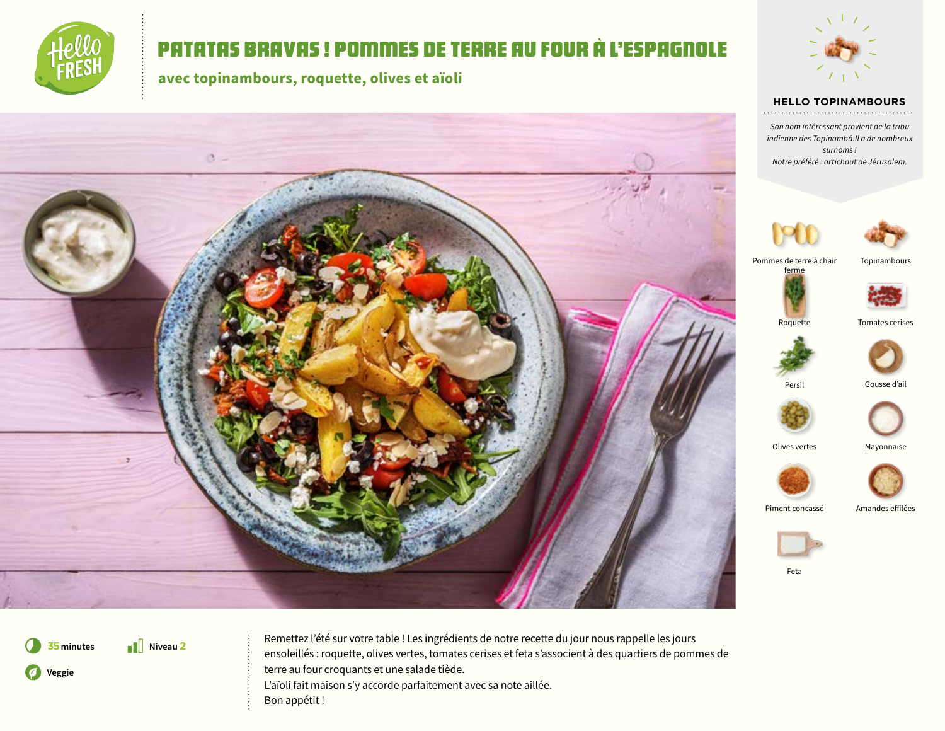

## Patatas Bravas ! Pommes de terre au four à l'espagnole

**avec topinambours, roquette, olives et aïoli**





### **HELLO TOPINAMBOURS**

*Son nom intéressant provient de la tribu indienne des Topinambá.Il a de nombreux surnoms ! Notre préféré : artichaut de Jérusalem.*





Pommes de terre à chair ferme





Roquette Tomates cerises



Persil Gousse d'ail





Piment concassé Amandes effilées





Feta

**1** Niveau 2 *<u>O* Veggie</u>

**75** minutes **Remettez l'été sur votre table !** Les ingrédients de notre recette du jour nous rappelle les jours ensoleillés : roquette, olives vertes, tomates cerises et feta s'associent à des quartiers de pommes de terre au four croquants et une salade tiède. L'aïoli fait maison s'y accorde parfaitement avec sa note aillée. Bon appétit !